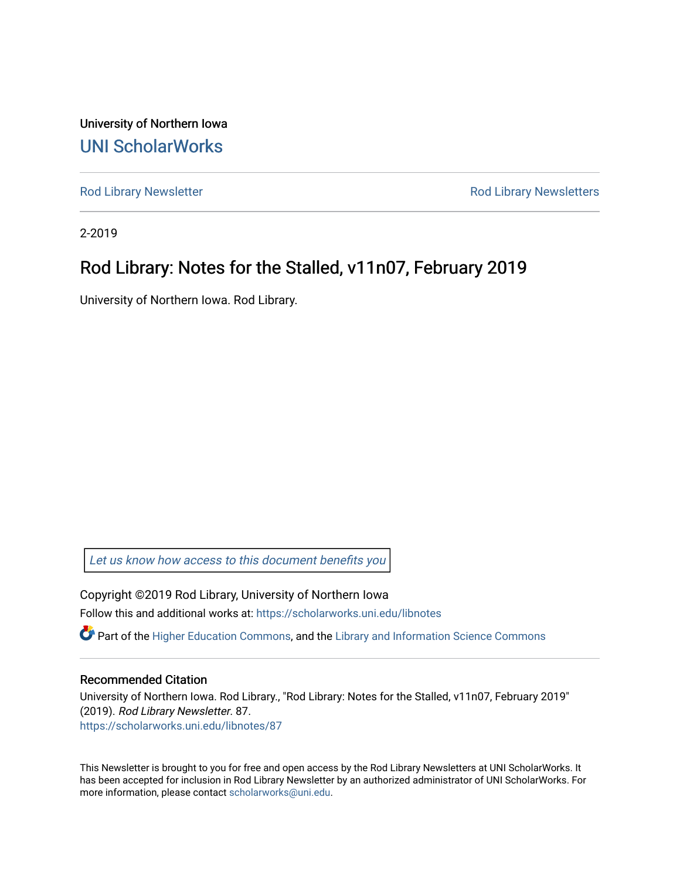University of Northern Iowa [UNI ScholarWorks](https://scholarworks.uni.edu/) 

[Rod Library Newsletter](https://scholarworks.uni.edu/libnotes) **Rod Library Newsletters** Rod Library Newsletters

2-2019

#### Rod Library: Notes for the Stalled, v11n07, February 2019

University of Northern Iowa. Rod Library.

[Let us know how access to this document benefits you](https://scholarworks.uni.edu/feedback_form.html) 

Copyright ©2019 Rod Library, University of Northern Iowa Follow this and additional works at: [https://scholarworks.uni.edu/libnotes](https://scholarworks.uni.edu/libnotes?utm_source=scholarworks.uni.edu%2Flibnotes%2F87&utm_medium=PDF&utm_campaign=PDFCoverPages) 

 $\bullet$  Part of the [Higher Education Commons,](http://network.bepress.com/hgg/discipline/1245?utm_source=scholarworks.uni.edu%2Flibnotes%2F87&utm_medium=PDF&utm_campaign=PDFCoverPages) and the Library and Information Science Commons

#### Recommended Citation

University of Northern Iowa. Rod Library., "Rod Library: Notes for the Stalled, v11n07, February 2019" (2019). Rod Library Newsletter. 87. [https://scholarworks.uni.edu/libnotes/87](https://scholarworks.uni.edu/libnotes/87?utm_source=scholarworks.uni.edu%2Flibnotes%2F87&utm_medium=PDF&utm_campaign=PDFCoverPages)

This Newsletter is brought to you for free and open access by the Rod Library Newsletters at UNI ScholarWorks. It has been accepted for inclusion in Rod Library Newsletter by an authorized administrator of UNI ScholarWorks. For more information, please contact [scholarworks@uni.edu.](mailto:scholarworks@uni.edu)